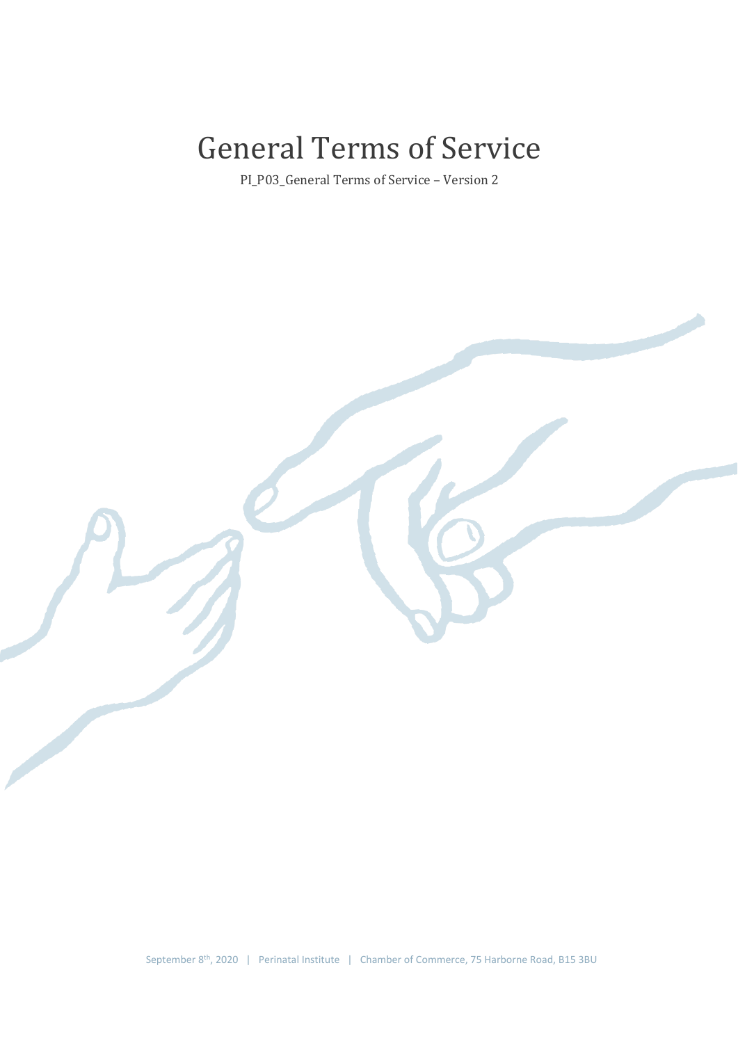# General Terms of Service

PI\_P03\_General Terms of Service – Version 2

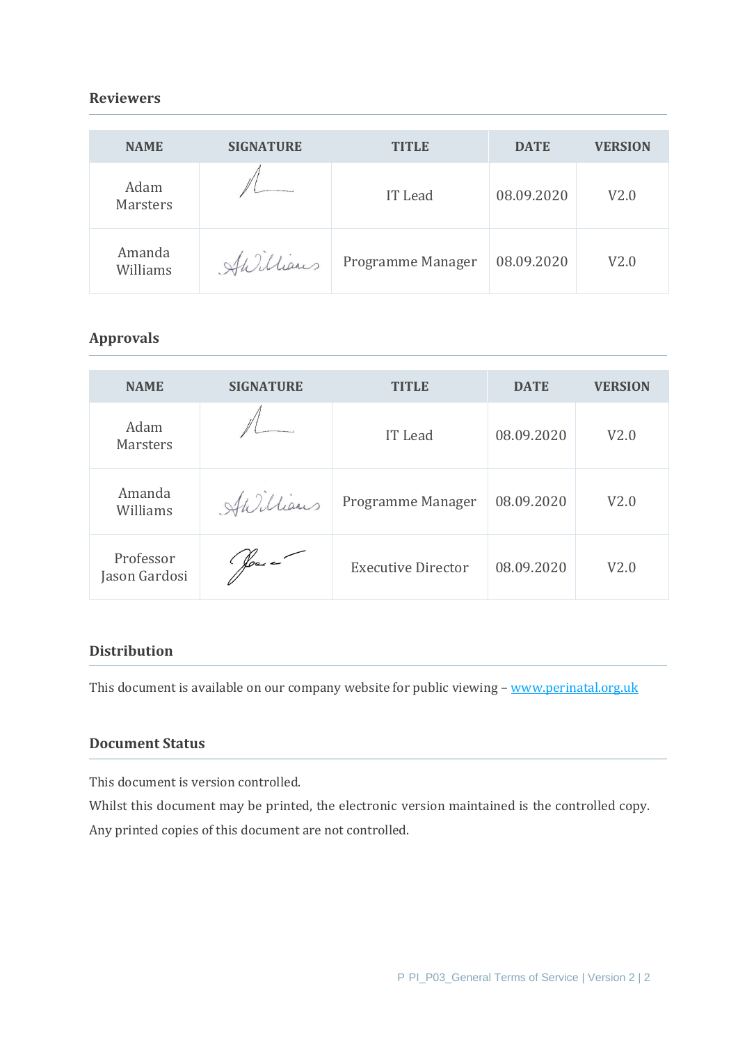## **Reviewers**

| <b>NAME</b>             | <b>SIGNATURE</b> | <b>TITLE</b>      | <b>DATE</b> | <b>VERSION</b> |
|-------------------------|------------------|-------------------|-------------|----------------|
| Adam<br><b>Marsters</b> |                  | IT Lead           | 08.09.2020  | V2.0           |
| Amanda<br>Williams      | Hillians         | Programme Manager | 08.09.2020  | V2.0           |

## **Approvals**

| <b>NAME</b>                | <b>SIGNATURE</b>     | <b>TITLE</b>              | <b>DATE</b> | <b>VERSION</b> |
|----------------------------|----------------------|---------------------------|-------------|----------------|
| Adam<br><b>Marsters</b>    |                      | <b>IT</b> Lead            | 08.09.2020  | V2.0           |
| Amanda<br>Williams         | AWilliams            | Programme Manager         | 08.09.2020  | V2.0           |
| Professor<br>Jason Gardosi | $\frac{1}{\sqrt{2}}$ | <b>Executive Director</b> | 08.09.2020  | V2.0           |

## **Distribution**

This document is available on our company website for public viewing - [www.perinatal.org.uk](http://www.perinatal.org.uk/)

## **Document Status**

This document is version controlled.

Whilst this document may be printed, the electronic version maintained is the controlled copy. Any printed copies of this document are not controlled.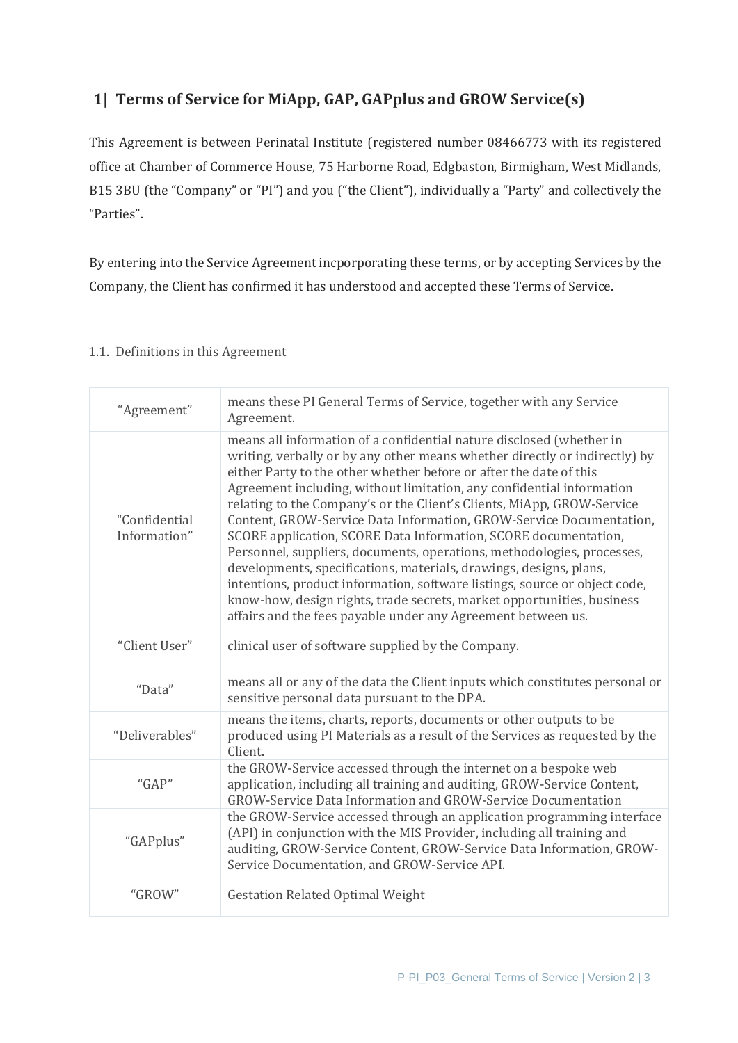## **1| Terms of Service for MiApp, GAP, GAPplus and GROW Service(s)**

This Agreement is between Perinatal Institute (registered number 08466773 with its registered office at Chamber of Commerce House, 75 Harborne Road, Edgbaston, Birmigham, West Midlands, B15 3BU (the "Company" or "PI") and you ("the Client"), individually a "Party" and collectively the "Parties".

By entering into the Service Agreement incporporating these terms, or by accepting Services by the Company, the Client has confirmed it has understood and accepted these Terms of Service.

#### 1.1. Definitions in this Agreement

| "Agreement"                   | means these PI General Terms of Service, together with any Service<br>Agreement.                                                                                                                                                                                                                                                                                                                                                                                                                                                                                                                                                                                                                                                                                                                                                                                                              |
|-------------------------------|-----------------------------------------------------------------------------------------------------------------------------------------------------------------------------------------------------------------------------------------------------------------------------------------------------------------------------------------------------------------------------------------------------------------------------------------------------------------------------------------------------------------------------------------------------------------------------------------------------------------------------------------------------------------------------------------------------------------------------------------------------------------------------------------------------------------------------------------------------------------------------------------------|
| "Confidential<br>Information" | means all information of a confidential nature disclosed (whether in<br>writing, verbally or by any other means whether directly or indirectly) by<br>either Party to the other whether before or after the date of this<br>Agreement including, without limitation, any confidential information<br>relating to the Company's or the Client's Clients, MiApp, GROW-Service<br>Content, GROW-Service Data Information, GROW-Service Documentation,<br>SCORE application, SCORE Data Information, SCORE documentation,<br>Personnel, suppliers, documents, operations, methodologies, processes,<br>developments, specifications, materials, drawings, designs, plans,<br>intentions, product information, software listings, source or object code,<br>know-how, design rights, trade secrets, market opportunities, business<br>affairs and the fees payable under any Agreement between us. |
| "Client User"                 | clinical user of software supplied by the Company.                                                                                                                                                                                                                                                                                                                                                                                                                                                                                                                                                                                                                                                                                                                                                                                                                                            |
| "Data"                        | means all or any of the data the Client inputs which constitutes personal or<br>sensitive personal data pursuant to the DPA.                                                                                                                                                                                                                                                                                                                                                                                                                                                                                                                                                                                                                                                                                                                                                                  |
| "Deliverables"                | means the items, charts, reports, documents or other outputs to be<br>produced using PI Materials as a result of the Services as requested by the<br>Client.                                                                                                                                                                                                                                                                                                                                                                                                                                                                                                                                                                                                                                                                                                                                  |
| " $GAP"$                      | the GROW-Service accessed through the internet on a bespoke web<br>application, including all training and auditing, GROW-Service Content,<br>GROW-Service Data Information and GROW-Service Documentation                                                                                                                                                                                                                                                                                                                                                                                                                                                                                                                                                                                                                                                                                    |
| "GAPplus"                     | the GROW-Service accessed through an application programming interface<br>(API) in conjunction with the MIS Provider, including all training and<br>auditing, GROW-Service Content, GROW-Service Data Information, GROW-<br>Service Documentation, and GROW-Service API.                                                                                                                                                                                                                                                                                                                                                                                                                                                                                                                                                                                                                      |
| "GROW"                        | <b>Gestation Related Optimal Weight</b>                                                                                                                                                                                                                                                                                                                                                                                                                                                                                                                                                                                                                                                                                                                                                                                                                                                       |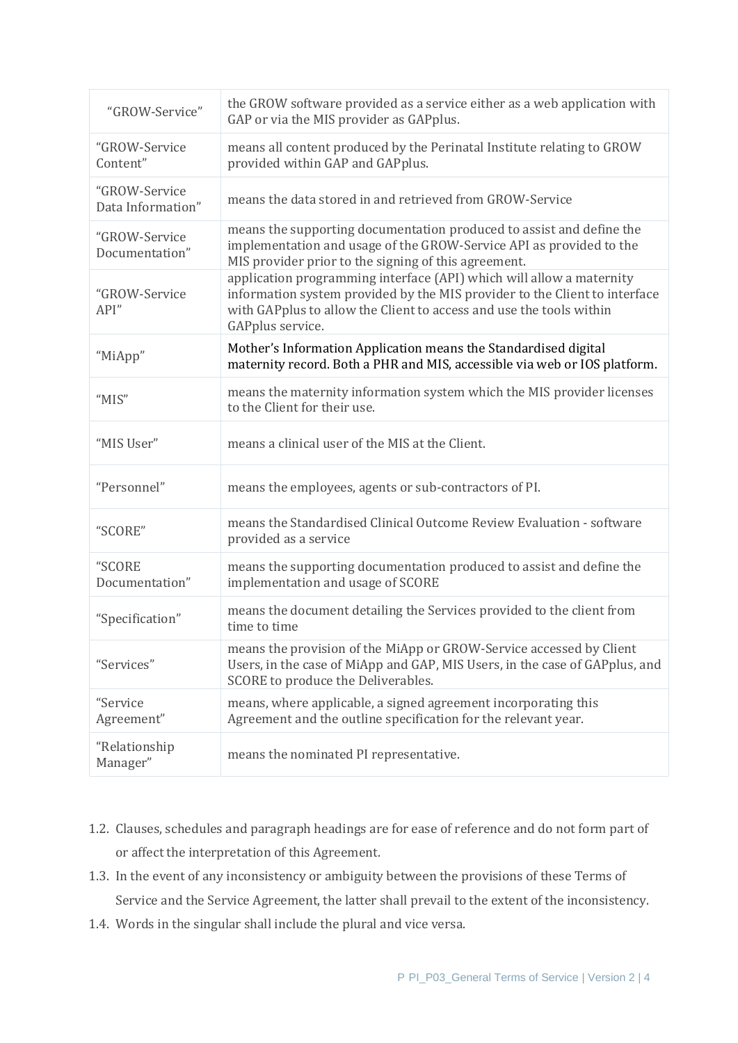| "GROW-Service"                     | the GROW software provided as a service either as a web application with<br>GAP or via the MIS provider as GAPplus.                                                                                                                           |
|------------------------------------|-----------------------------------------------------------------------------------------------------------------------------------------------------------------------------------------------------------------------------------------------|
| "GROW-Service<br>Content"          | means all content produced by the Perinatal Institute relating to GROW<br>provided within GAP and GAPplus.                                                                                                                                    |
| "GROW-Service<br>Data Information" | means the data stored in and retrieved from GROW-Service                                                                                                                                                                                      |
| "GROW-Service<br>Documentation"    | means the supporting documentation produced to assist and define the<br>implementation and usage of the GROW-Service API as provided to the<br>MIS provider prior to the signing of this agreement.                                           |
| "GROW-Service<br>API"              | application programming interface (API) which will allow a maternity<br>information system provided by the MIS provider to the Client to interface<br>with GAPplus to allow the Client to access and use the tools within<br>GAPplus service. |
| "MiApp"                            | Mother's Information Application means the Standardised digital<br>maternity record. Both a PHR and MIS, accessible via web or IOS platform.                                                                                                  |
| "MIS"                              | means the maternity information system which the MIS provider licenses<br>to the Client for their use.                                                                                                                                        |
| "MIS User"                         | means a clinical user of the MIS at the Client.                                                                                                                                                                                               |
| "Personnel"                        | means the employees, agents or sub-contractors of PI.                                                                                                                                                                                         |
| "SCORE"                            | means the Standardised Clinical Outcome Review Evaluation - software<br>provided as a service                                                                                                                                                 |
| "SCORE<br>Documentation"           | means the supporting documentation produced to assist and define the<br>implementation and usage of SCORE                                                                                                                                     |
| "Specification"                    | means the document detailing the Services provided to the client from<br>time to time                                                                                                                                                         |
| "Services"                         | means the provision of the MiApp or GROW-Service accessed by Client<br>Users, in the case of MiApp and GAP, MIS Users, in the case of GAPplus, and<br>SCORE to produce the Deliverables.                                                      |
| "Service<br>Agreement"             | means, where applicable, a signed agreement incorporating this<br>Agreement and the outline specification for the relevant year.                                                                                                              |
| "Relationship<br>Manager"          | means the nominated PI representative.                                                                                                                                                                                                        |

- 1.2. Clauses, schedules and paragraph headings are for ease of reference and do not form part of or affect the interpretation of this Agreement.
- 1.3. In the event of any inconsistency or ambiguity between the provisions of these Terms of Service and the Service Agreement, the latter shall prevail to the extent of the inconsistency.
- 1.4. Words in the singular shall include the plural and vice versa.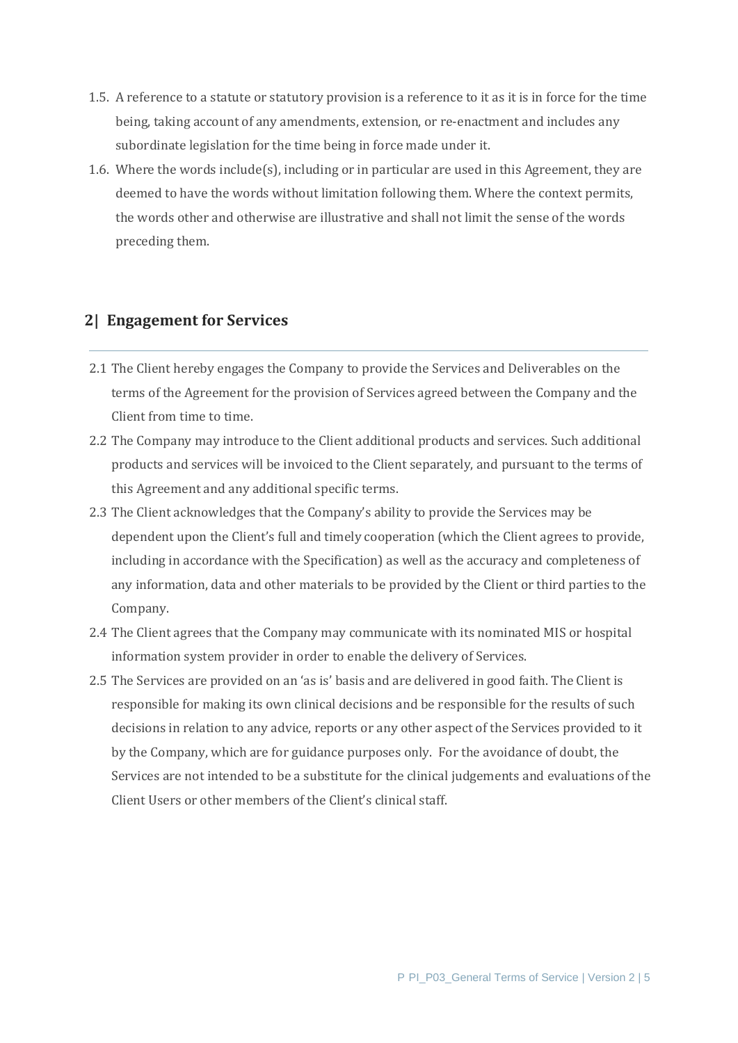- 1.5. A reference to a statute or statutory provision is a reference to it as it is in force for the time being, taking account of any amendments, extension, or re-enactment and includes any subordinate legislation for the time being in force made under it.
- 1.6. Where the words include(s), including or in particular are used in this Agreement, they are deemed to have the words without limitation following them. Where the context permits, the words other and otherwise are illustrative and shall not limit the sense of the words preceding them.

## **2| Engagement for Services**

- 2.1 The Client hereby engages the Company to provide the Services and Deliverables on the terms of the Agreement for the provision of Services agreed between the Company and the Client from time to time.
- 2.2 The Company may introduce to the Client additional products and services. Such additional products and services will be invoiced to the Client separately, and pursuant to the terms of this Agreement and any additional specific terms.
- 2.3 The Client acknowledges that the Company's ability to provide the Services may be dependent upon the Client's full and timely cooperation (which the Client agrees to provide, including in accordance with the Specification) as well as the accuracy and completeness of any information, data and other materials to be provided by the Client or third parties to the Company.
- 2.4 The Client agrees that the Company may communicate with its nominated MIS or hospital information system provider in order to enable the delivery of Services.
- 2.5 The Services are provided on an 'as is' basis and are delivered in good faith. The Client is responsible for making its own clinical decisions and be responsible for the results of such decisions in relation to any advice, reports or any other aspect of the Services provided to it by the Company, which are for guidance purposes only. For the avoidance of doubt, the Services are not intended to be a substitute for the clinical judgements and evaluations of the Client Users or other members of the Client's clinical staff.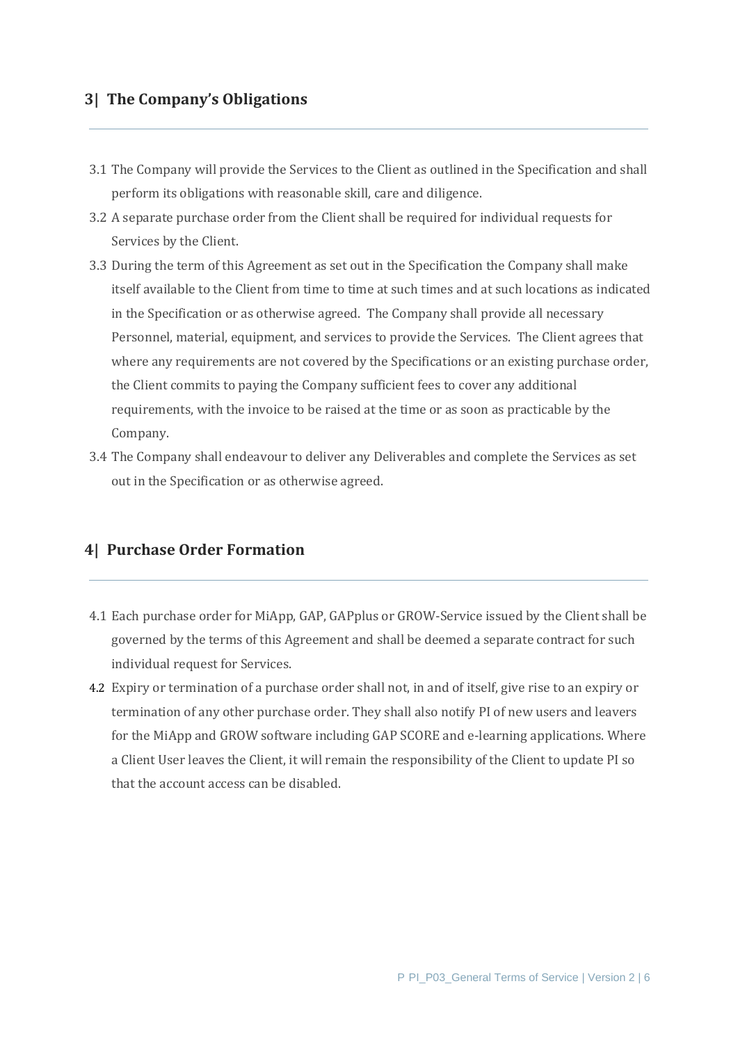## **3| The Company's Obligations**

- 3.1 The Company will provide the Services to the Client as outlined in the Specification and shall perform its obligations with reasonable skill, care and diligence.
- 3.2 A separate purchase order from the Client shall be required for individual requests for Services by the Client.
- 3.3 During the term of this Agreement as set out in the Specification the Company shall make itself available to the Client from time to time at such times and at such locations as indicated in the Specification or as otherwise agreed. The Company shall provide all necessary Personnel, material, equipment, and services to provide the Services. The Client agrees that where any requirements are not covered by the Specifications or an existing purchase order, the Client commits to paying the Company sufficient fees to cover any additional requirements, with the invoice to be raised at the time or as soon as practicable by the Company.
- 3.4 The Company shall endeavour to deliver any Deliverables and complete the Services as set out in the Specification or as otherwise agreed.

#### **4| Purchase Order Formation**

- 4.1 Each purchase order for MiApp, GAP, GAPplus or GROW-Service issued by the Client shall be governed by the terms of this Agreement and shall be deemed a separate contract for such individual request for Services.
- 4.2 Expiry or termination of a purchase order shall not, in and of itself, give rise to an expiry or termination of any other purchase order. They shall also notify PI of new users and leavers for the MiApp and GROW software including GAP SCORE and e-learning applications. Where a Client User leaves the Client, it will remain the responsibility of the Client to update PI so that the account access can be disabled.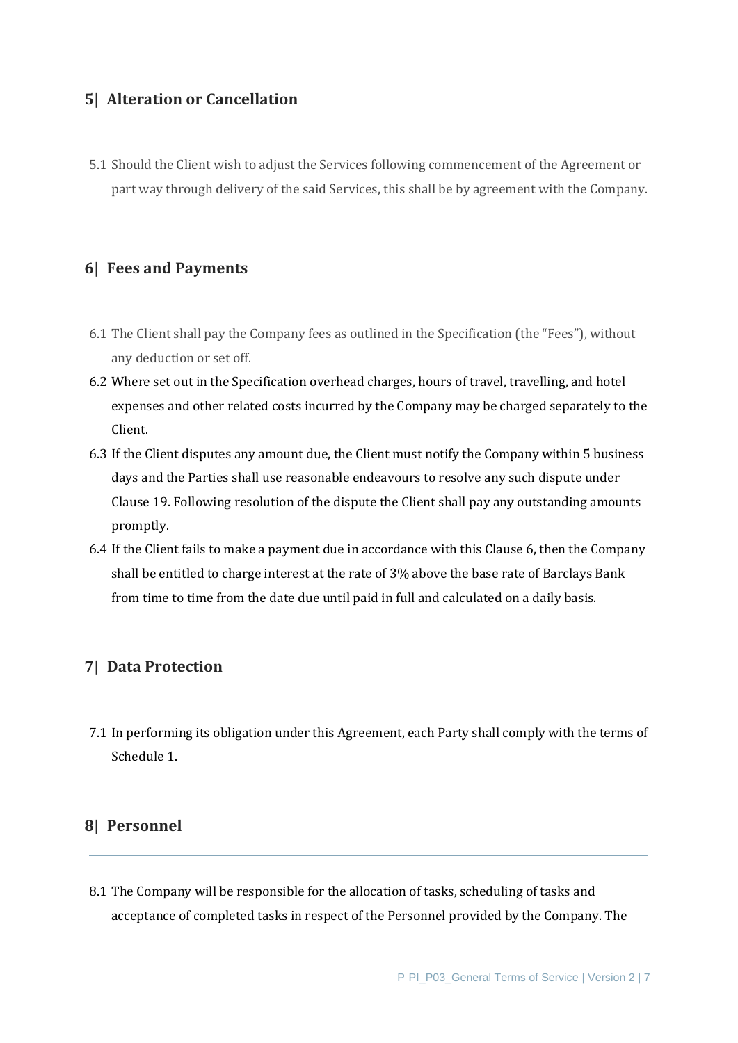#### **5| Alteration or Cancellation**

5.1 Should the Client wish to adjust the Services following commencement of the Agreement or part way through delivery of the said Services, this shall be by agreement with the Company.

#### **6| Fees and Payments**

- 6.1 The Client shall pay the Company fees as outlined in the Specification (the "Fees"), without any deduction or set off.
- 6.2 Where set out in the Specification overhead charges, hours of travel, travelling, and hotel expenses and other related costs incurred by the Company may be charged separately to the Client.
- 6.3 If the Client disputes any amount due, the Client must notify the Company within 5 business days and the Parties shall use reasonable endeavours to resolve any such dispute under Clause 19. Following resolution of the dispute the Client shall pay any outstanding amounts promptly.
- 6.4 If the Client fails to make a payment due in accordance with this Clause 6, then the Company shall be entitled to charge interest at the rate of 3% above the base rate of Barclays Bank from time to time from the date due until paid in full and calculated on a daily basis.

#### **7| Data Protection**

7.1 In performing its obligation under this Agreement, each Party shall comply with the terms of Schedule 1.

## **8| Personnel**

8.1 The Company will be responsible for the allocation of tasks, scheduling of tasks and acceptance of completed tasks in respect of the Personnel provided by the Company. The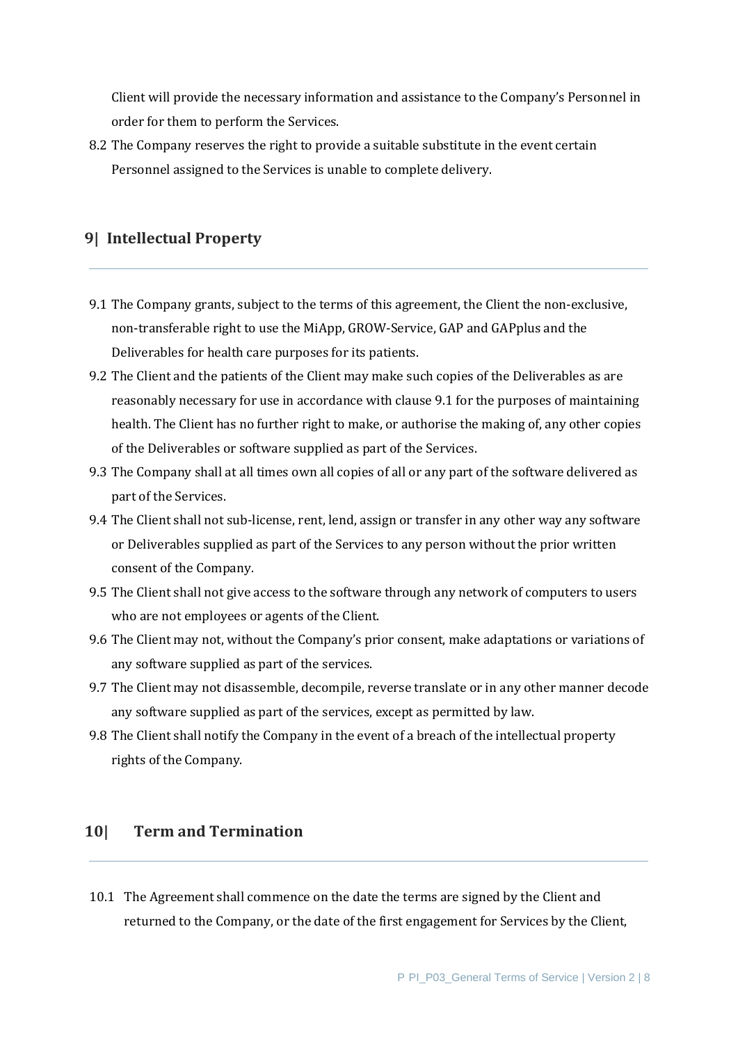Client will provide the necessary information and assistance to the Company's Personnel in order for them to perform the Services.

8.2 The Company reserves the right to provide a suitable substitute in the event certain Personnel assigned to the Services is unable to complete delivery.

## **9| Intellectual Property**

- 9.1 The Company grants, subject to the terms of this agreement, the Client the non-exclusive, non-transferable right to use the MiApp, GROW-Service, GAP and GAPplus and the Deliverables for health care purposes for its patients.
- 9.2 The Client and the patients of the Client may make such copies of the Deliverables as are reasonably necessary for use in accordance with clause 9.1 for the purposes of maintaining health. The Client has no further right to make, or authorise the making of, any other copies of the Deliverables or software supplied as part of the Services.
- 9.3 The Company shall at all times own all copies of all or any part of the software delivered as part of the Services.
- 9.4 The Client shall not sub-license, rent, lend, assign or transfer in any other way any software or Deliverables supplied as part of the Services to any person without the prior written consent of the Company.
- 9.5 The Client shall not give access to the software through any network of computers to users who are not employees or agents of the Client.
- 9.6 The Client may not, without the Company's prior consent, make adaptations or variations of any software supplied as part of the services.
- 9.7 The Client may not disassemble, decompile, reverse translate or in any other manner decode any software supplied as part of the services, except as permitted by law.
- 9.8 The Client shall notify the Company in the event of a breach of the intellectual property rights of the Company.

#### **10| Term and Termination**

10.1 The Agreement shall commence on the date the terms are signed by the Client and returned to the Company, or the date of the first engagement for Services by the Client,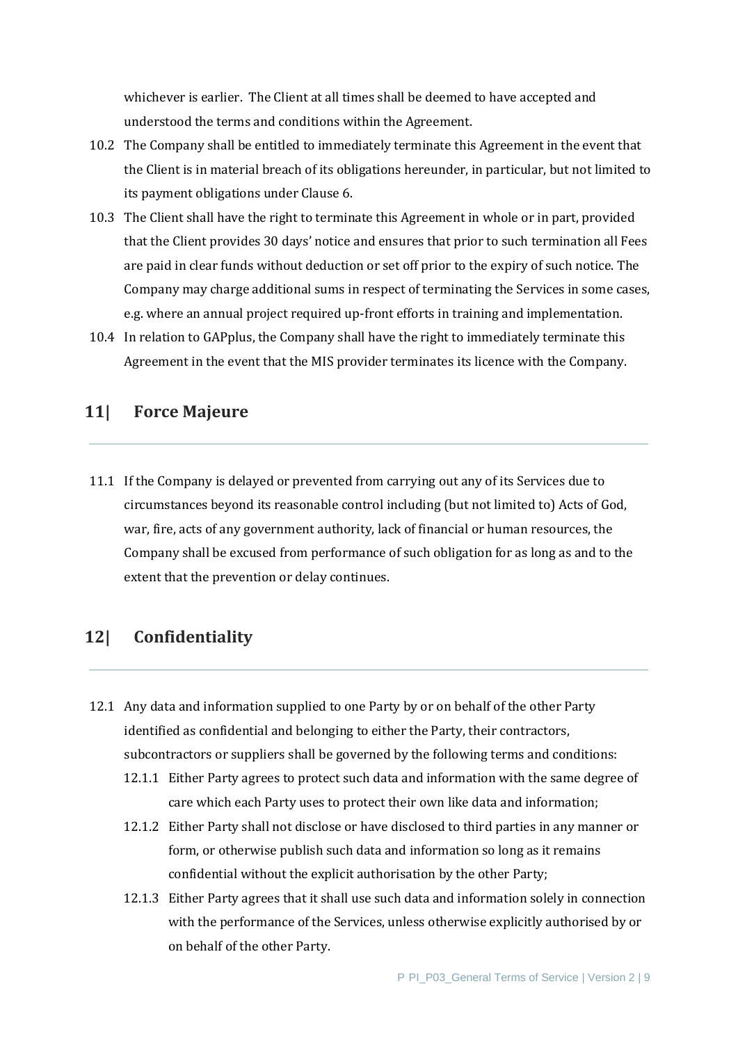whichever is earlier. The Client at all times shall be deemed to have accepted and understood the terms and conditions within the Agreement.

- 10.2 The Company shall be entitled to immediately terminate this Agreement in the event that the Client is in material breach of its obligations hereunder, in particular, but not limited to its payment obligations under Clause 6.
- 10.3 The Client shall have the right to terminate this Agreement in whole or in part, provided that the Client provides 30 days' notice and ensures that prior to such termination all Fees are paid in clear funds without deduction or set off prior to the expiry of such notice. The Company may charge additional sums in respect of terminating the Services in some cases, e.g. where an annual project required up-front efforts in training and implementation.
- 10.4 In relation to GAPplus, the Company shall have the right to immediately terminate this Agreement in the event that the MIS provider terminates its licence with the Company.

## **11| Force Majeure**

11.1 If the Company is delayed or prevented from carrying out any of its Services due to circumstances beyond its reasonable control including (but not limited to) Acts of God, war, fire, acts of any government authority, lack of financial or human resources, the Company shall be excused from performance of such obligation for as long as and to the extent that the prevention or delay continues.

## **12| Confidentiality**

- 12.1 Any data and information supplied to one Party by or on behalf of the other Party identified as confidential and belonging to either the Party, their contractors, subcontractors or suppliers shall be governed by the following terms and conditions:
	- 12.1.1 Either Party agrees to protect such data and information with the same degree of care which each Party uses to protect their own like data and information;
	- 12.1.2 Either Party shall not disclose or have disclosed to third parties in any manner or form, or otherwise publish such data and information so long as it remains confidential without the explicit authorisation by the other Party;
	- 12.1.3 Either Party agrees that it shall use such data and information solely in connection with the performance of the Services, unless otherwise explicitly authorised by or on behalf of the other Party.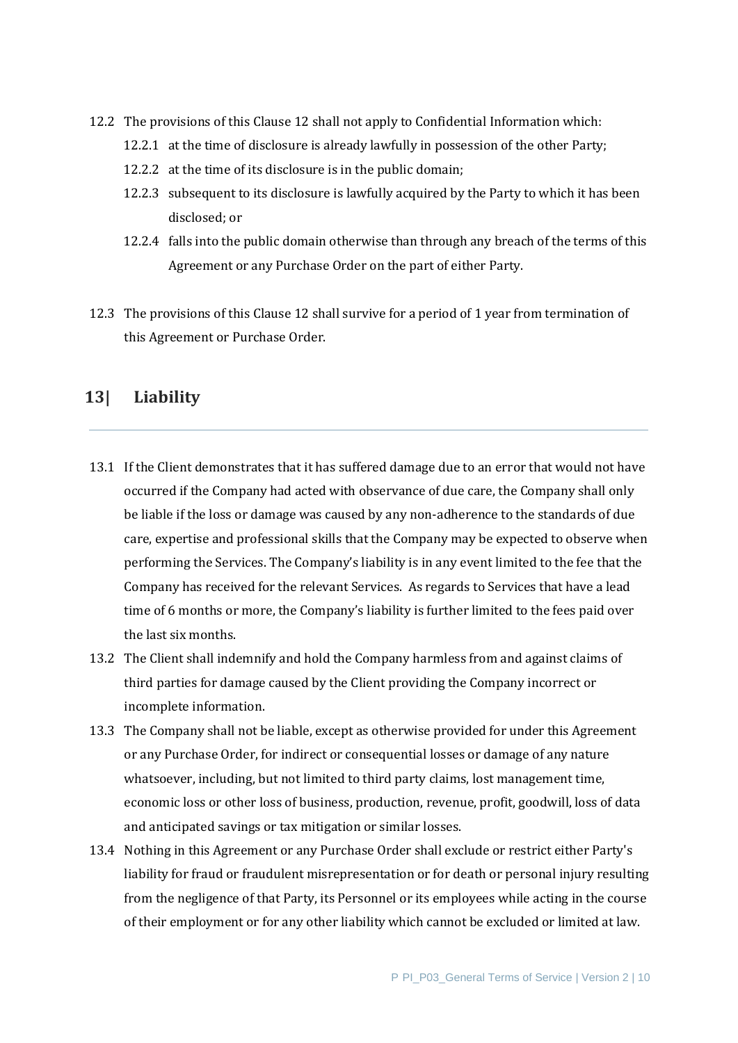- 12.2 The provisions of this Clause 12 shall not apply to Confidential Information which:
	- 12.2.1 at the time of disclosure is already lawfully in possession of the other Party;
	- 12.2.2 at the time of its disclosure is in the public domain;
	- 12.2.3 subsequent to its disclosure is lawfully acquired by the Party to which it has been disclosed; or
	- 12.2.4 falls into the public domain otherwise than through any breach of the terms of this Agreement or any Purchase Order on the part of either Party.
- 12.3 The provisions of this Clause 12 shall survive for a period of 1 year from termination of this Agreement or Purchase Order.

## **13| Liability**

- 13.1 If the Client demonstrates that it has suffered damage due to an error that would not have occurred if the Company had acted with observance of due care, the Company shall only be liable if the loss or damage was caused by any non-adherence to the standards of due care, expertise and professional skills that the Company may be expected to observe when performing the Services. The Company's liability is in any event limited to the fee that the Company has received for the relevant Services. As regards to Services that have a lead time of 6 months or more, the Company's liability is further limited to the fees paid over the last six months.
- 13.2 The Client shall indemnify and hold the Company harmless from and against claims of third parties for damage caused by the Client providing the Company incorrect or incomplete information.
- 13.3 The Company shall not be liable, except as otherwise provided for under this Agreement or any Purchase Order, for indirect or consequential losses or damage of any nature whatsoever, including, but not limited to third party claims, lost management time, economic loss or other loss of business, production, revenue, profit, goodwill, loss of data and anticipated savings or tax mitigation or similar losses.
- 13.4 Nothing in this Agreement or any Purchase Order shall exclude or restrict either Party's liability for fraud or fraudulent misrepresentation or for death or personal injury resulting from the negligence of that Party, its Personnel or its employees while acting in the course of their employment or for any other liability which cannot be excluded or limited at law.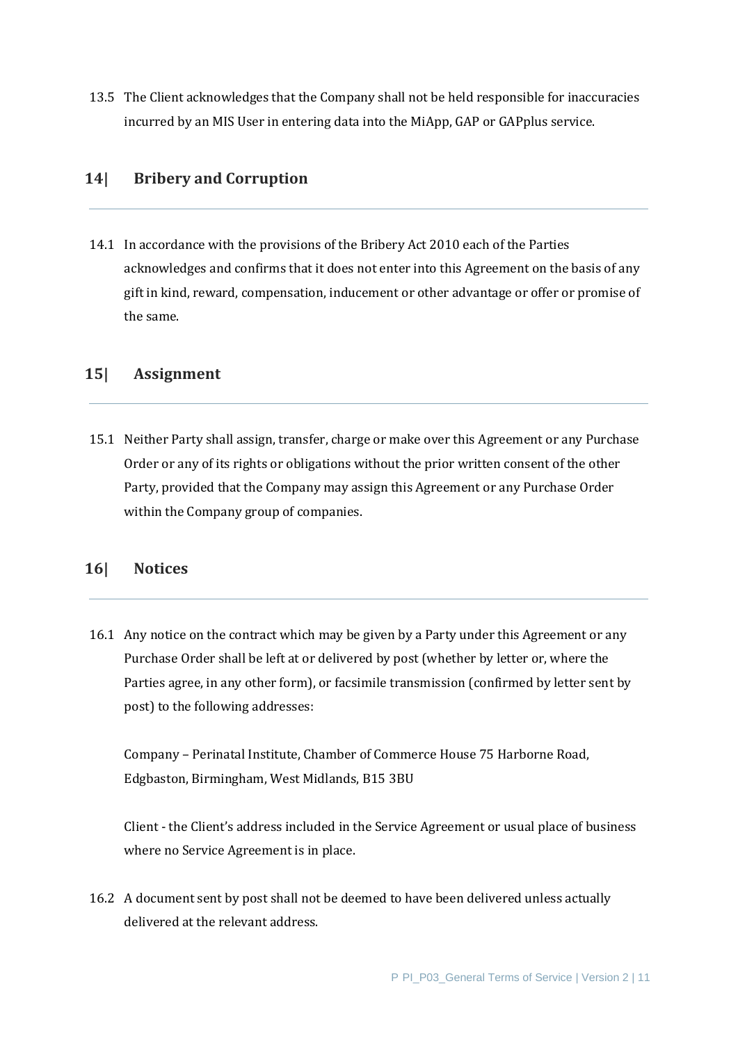13.5 The Client acknowledges that the Company shall not be held responsible for inaccuracies incurred by an MIS User in entering data into the MiApp, GAP or GAPplus service.

## **14| Bribery and Corruption**

14.1 In accordance with the provisions of the Bribery Act 2010 each of the Parties acknowledges and confirms that it does not enter into this Agreement on the basis of any gift in kind, reward, compensation, inducement or other advantage or offer or promise of the same.

#### **15| Assignment**

15.1 Neither Party shall assign, transfer, charge or make over this Agreement or any Purchase Order or any of its rights or obligations without the prior written consent of the other Party, provided that the Company may assign this Agreement or any Purchase Order within the Company group of companies.

#### **16| Notices**

16.1 Any notice on the contract which may be given by a Party under this Agreement or any Purchase Order shall be left at or delivered by post (whether by letter or, where the Parties agree, in any other form), or facsimile transmission (confirmed by letter sent by post) to the following addresses:

Company – Perinatal Institute, Chamber of Commerce House 75 Harborne Road, Edgbaston, Birmingham, West Midlands, B15 3BU

Client - the Client's address included in the Service Agreement or usual place of business where no Service Agreement is in place.

16.2 A document sent by post shall not be deemed to have been delivered unless actually delivered at the relevant address.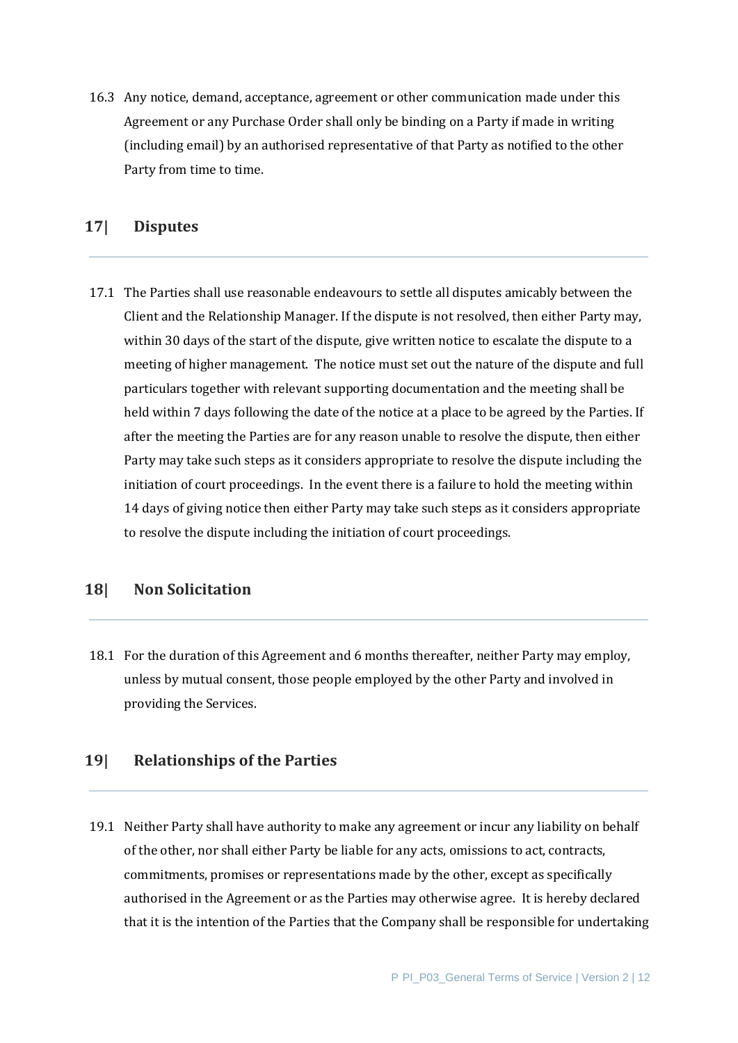16.3 Any notice, demand, acceptance, agreement or other communication made under this Agreement or any Purchase Order shall only be binding on a Party if made in writing (including email) by an authorised representative of that Party as notified to the other Party from time to time.

#### **17| Disputes**

17.1 The Parties shall use reasonable endeavours to settle all disputes amicably between the Client and the Relationship Manager. If the dispute is not resolved, then either Party may, within 30 days of the start of the dispute, give written notice to escalate the dispute to a meeting of higher management. The notice must set out the nature of the dispute and full particulars together with relevant supporting documentation and the meeting shall be held within 7 days following the date of the notice at a place to be agreed by the Parties. If after the meeting the Parties are for any reason unable to resolve the dispute, then either Party may take such steps as it considers appropriate to resolve the dispute including the initiation of court proceedings. In the event there is a failure to hold the meeting within 14 days of giving notice then either Party may take such steps as it considers appropriate to resolve the dispute including the initiation of court proceedings.

## **18| Non Solicitation**

18.1 For the duration of this Agreement and 6 months thereafter, neither Party may employ, unless by mutual consent, those people employed by the other Party and involved in providing the Services.

#### **19| Relationships of the Parties**

19.1 Neither Party shall have authority to make any agreement or incur any liability on behalf of the other, nor shall either Party be liable for any acts, omissions to act, contracts, commitments, promises or representations made by the other, except as specifically authorised in the Agreement or as the Parties may otherwise agree. It is hereby declared that it is the intention of the Parties that the Company shall be responsible for undertaking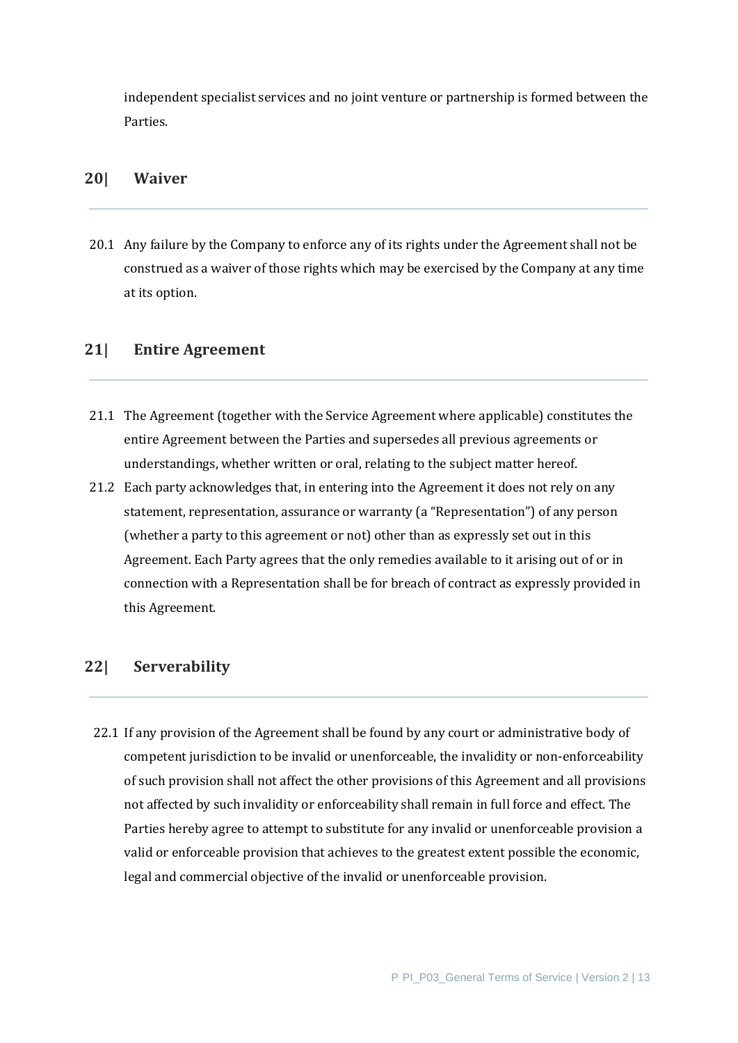independent specialist services and no joint venture or partnership is formed between the Parties.

#### **20| Waiver**

20.1 Any failure by the Company to enforce any of its rights under the Agreement shall not be construed as a waiver of those rights which may be exercised by the Company at any time at its option.

#### **21| Entire Agreement**

- 21.1 The Agreement (together with the Service Agreement where applicable) constitutes the entire Agreement between the Parties and supersedes all previous agreements or understandings, whether written or oral, relating to the subject matter hereof.
- 21.2 Each party acknowledges that, in entering into the Agreement it does not rely on any statement, representation, assurance or warranty (a "Representation") of any person (whether a party to this agreement or not) other than as expressly set out in this Agreement. Each Party agrees that the only remedies available to it arising out of or in connection with a Representation shall be for breach of contract as expressly provided in this Agreement.

#### **22| Serverability**

22.1 If any provision of the Agreement shall be found by any court or administrative body of competent jurisdiction to be invalid or unenforceable, the invalidity or non-enforceability of such provision shall not affect the other provisions of this Agreement and all provisions not affected by such invalidity or enforceability shall remain in full force and effect. The Parties hereby agree to attempt to substitute for any invalid or unenforceable provision a valid or enforceable provision that achieves to the greatest extent possible the economic, legal and commercial objective of the invalid or unenforceable provision.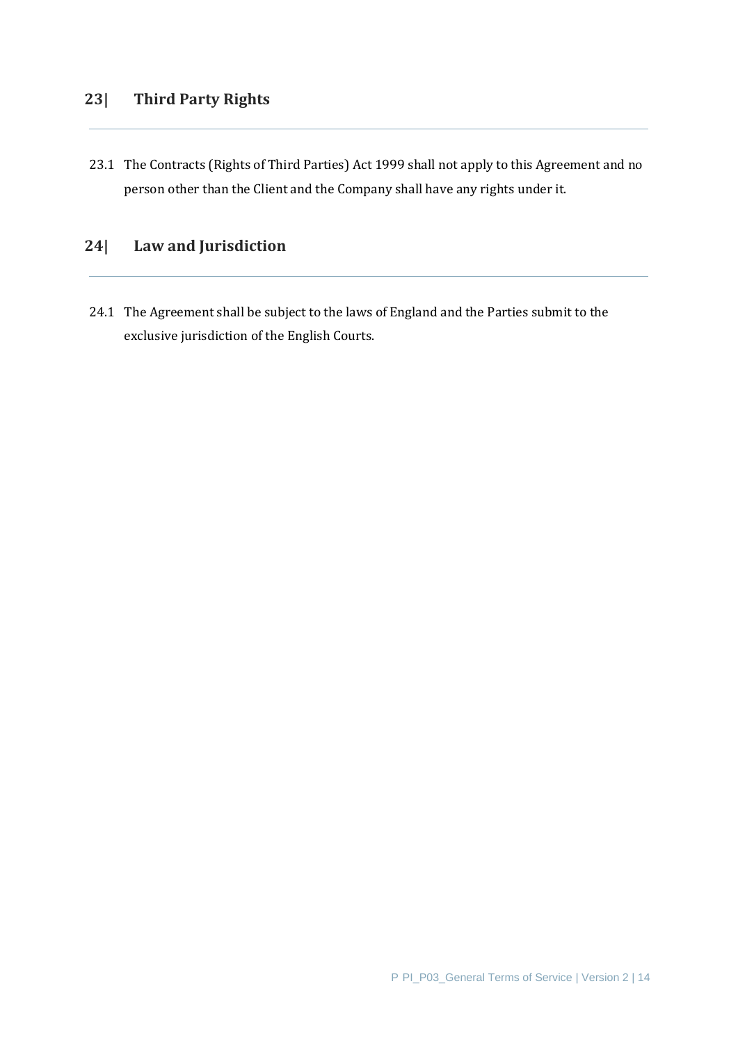## **23| Third Party Rights**

23.1 The Contracts (Rights of Third Parties) Act 1999 shall not apply to this Agreement and no person other than the Client and the Company shall have any rights under it.

## **24| Law and Jurisdiction**

24.1 The Agreement shall be subject to the laws of England and the Parties submit to the exclusive jurisdiction of the English Courts.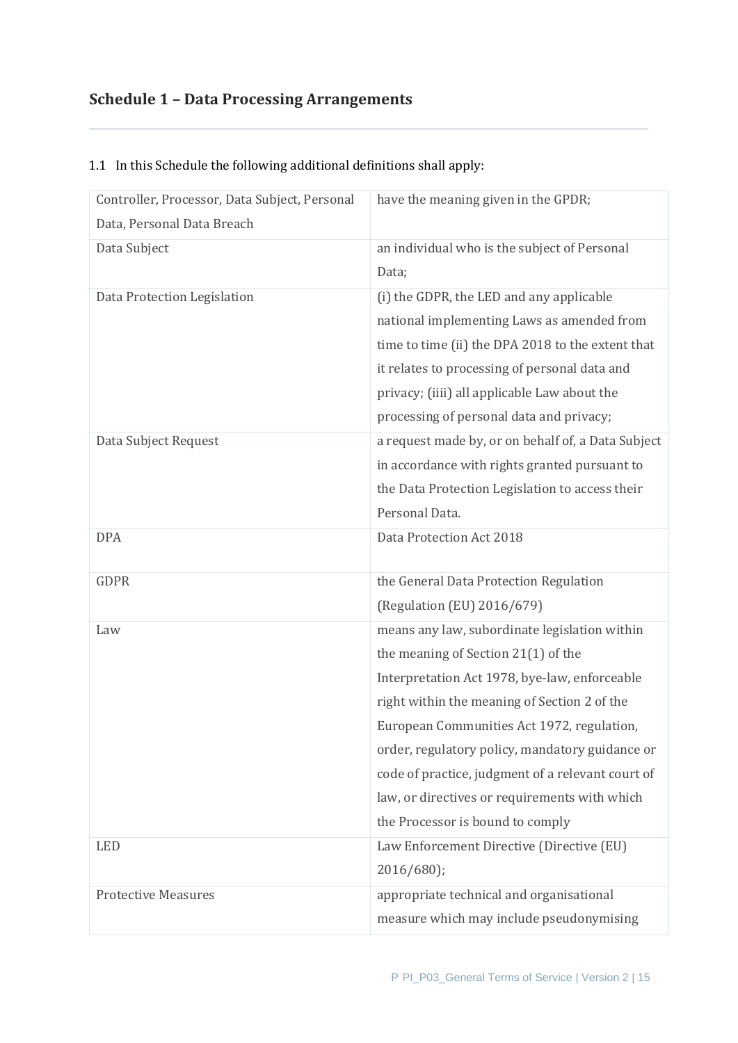# **Schedule 1 – Data Processing Arrangements**

| Controller, Processor, Data Subject, Personal | have the meaning given in the GPDR;                |
|-----------------------------------------------|----------------------------------------------------|
| Data, Personal Data Breach                    |                                                    |
| Data Subject                                  | an individual who is the subject of Personal       |
|                                               | Data;                                              |
| Data Protection Legislation                   | (i) the GDPR, the LED and any applicable           |
|                                               | national implementing Laws as amended from         |
|                                               | time to time (ii) the DPA 2018 to the extent that  |
|                                               | it relates to processing of personal data and      |
|                                               | privacy; (iiii) all applicable Law about the       |
|                                               | processing of personal data and privacy;           |
| Data Subject Request                          | a request made by, or on behalf of, a Data Subject |
|                                               | in accordance with rights granted pursuant to      |
|                                               | the Data Protection Legislation to access their    |
|                                               | Personal Data.                                     |
| <b>DPA</b>                                    | Data Protection Act 2018                           |
|                                               |                                                    |
| <b>GDPR</b>                                   | the General Data Protection Regulation             |
|                                               | (Regulation (EU) 2016/679)                         |
| Law                                           | means any law, subordinate legislation within      |
|                                               | the meaning of Section 21(1) of the                |
|                                               | Interpretation Act 1978, bye-law, enforceable      |
|                                               | right within the meaning of Section 2 of the       |
|                                               | European Communities Act 1972, regulation,         |
|                                               | order, regulatory policy, mandatory guidance or    |
|                                               | code of practice, judgment of a relevant court of  |
|                                               | law, or directives or requirements with which      |
|                                               | the Processor is bound to comply                   |
| <b>LED</b>                                    | Law Enforcement Directive (Directive (EU)          |
|                                               | 2016/680);                                         |
| <b>Protective Measures</b>                    | appropriate technical and organisational           |
|                                               | measure which may include pseudonymising           |

## 1.1 In this Schedule the following additional definitions shall apply: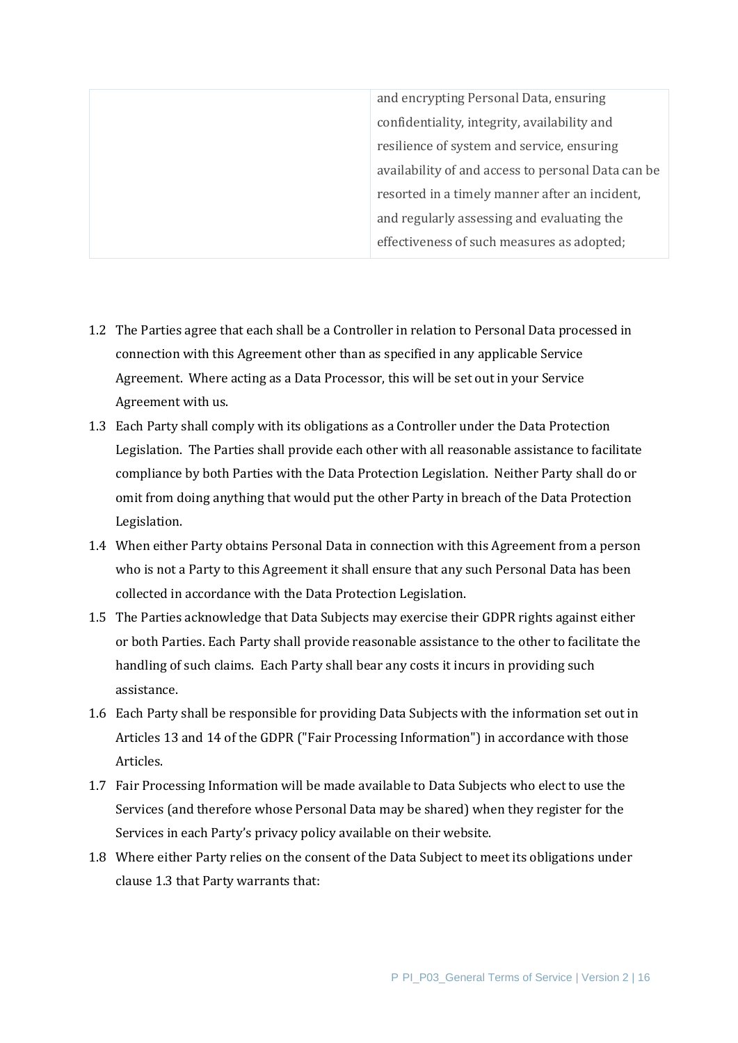| and encrypting Personal Data, ensuring             |
|----------------------------------------------------|
| confidentiality, integrity, availability and       |
| resilience of system and service, ensuring         |
| availability of and access to personal Data can be |
| resorted in a timely manner after an incident,     |
| and regularly assessing and evaluating the         |
| effectiveness of such measures as adopted;         |

- 1.2 The Parties agree that each shall be a Controller in relation to Personal Data processed in connection with this Agreement other than as specified in any applicable Service Agreement. Where acting as a Data Processor, this will be set out in your Service Agreement with us.
- 1.3 Each Party shall comply with its obligations as a Controller under the Data Protection Legislation. The Parties shall provide each other with all reasonable assistance to facilitate compliance by both Parties with the Data Protection Legislation. Neither Party shall do or omit from doing anything that would put the other Party in breach of the Data Protection Legislation.
- 1.4 When either Party obtains Personal Data in connection with this Agreement from a person who is not a Party to this Agreement it shall ensure that any such Personal Data has been collected in accordance with the Data Protection Legislation.
- 1.5 The Parties acknowledge that Data Subjects may exercise their GDPR rights against either or both Parties. Each Party shall provide reasonable assistance to the other to facilitate the handling of such claims. Each Party shall bear any costs it incurs in providing such assistance.
- 1.6 Each Party shall be responsible for providing Data Subjects with the information set out in Articles 13 and 14 of the GDPR ("Fair Processing Information") in accordance with those Articles.
- 1.7 Fair Processing Information will be made available to Data Subjects who elect to use the Services (and therefore whose Personal Data may be shared) when they register for the Services in each Party's privacy policy available on their website.
- 1.8 Where either Party relies on the consent of the Data Subject to meet its obligations under clause 1.3 that Party warrants that: